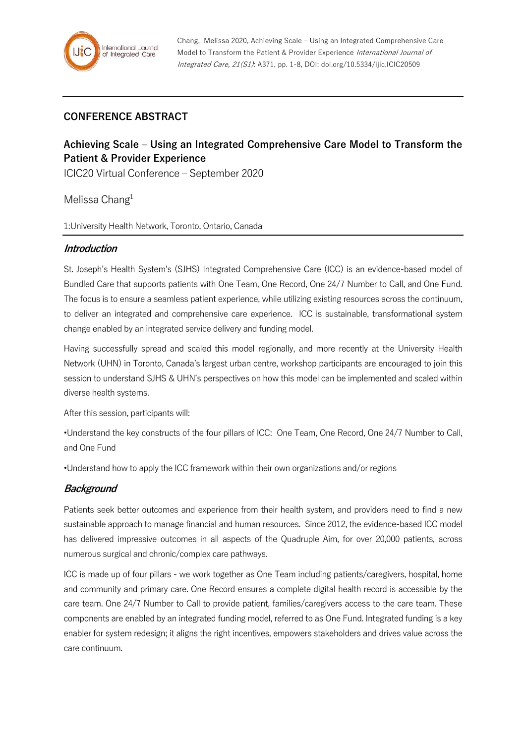## **CONFERENCE ABSTRACT**

# **Achieving Scale – Using an Integrated Comprehensive Care Model to Transform the Patient & Provider Experience**

ICIC20 Virtual Conference – September 2020

Melissa Chang<sup>1</sup>

1:University Health Network, Toronto, Ontario, Canada

#### **Introduction**

St. Joseph's Health System's (SJHS) Integrated Comprehensive Care (ICC) is an evidence-based model of Bundled Care that supports patients with One Team, One Record, One 24/7 Number to Call, and One Fund. The focus is to ensure a seamless patient experience, while utilizing existing resources across the continuum, to deliver an integrated and comprehensive care experience. ICC is sustainable, transformational system change enabled by an integrated service delivery and funding model.

Having successfully spread and scaled this model regionally, and more recently at the University Health Network (UHN) in Toronto, Canada's largest urban centre, workshop participants are encouraged to join this session to understand SJHS & UHN's perspectives on how this model can be implemented and scaled within diverse health systems.

After this session, participants will:

•Understand the key constructs of the four pillars of ICC: One Team, One Record, One 24/7 Number to Call, and One Fund

•Understand how to apply the ICC framework within their own organizations and/or regions

#### **Background**

Patients seek better outcomes and experience from their health system, and providers need to find a new sustainable approach to manage financial and human resources. Since 2012, the evidence-based ICC model has delivered impressive outcomes in all aspects of the Quadruple Aim, for over 20,000 patients, across numerous surgical and chronic/complex care pathways.

ICC is made up of four pillars - we work together as One Team including patients/caregivers, hospital, home and community and primary care. One Record ensures a complete digital health record is accessible by the care team. One 24/7 Number to Call to provide patient, families/caregivers access to the care team. These components are enabled by an integrated funding model, referred to as One Fund. Integrated funding is a key enabler for system redesign; it aligns the right incentives, empowers stakeholders and drives value across the care continuum.